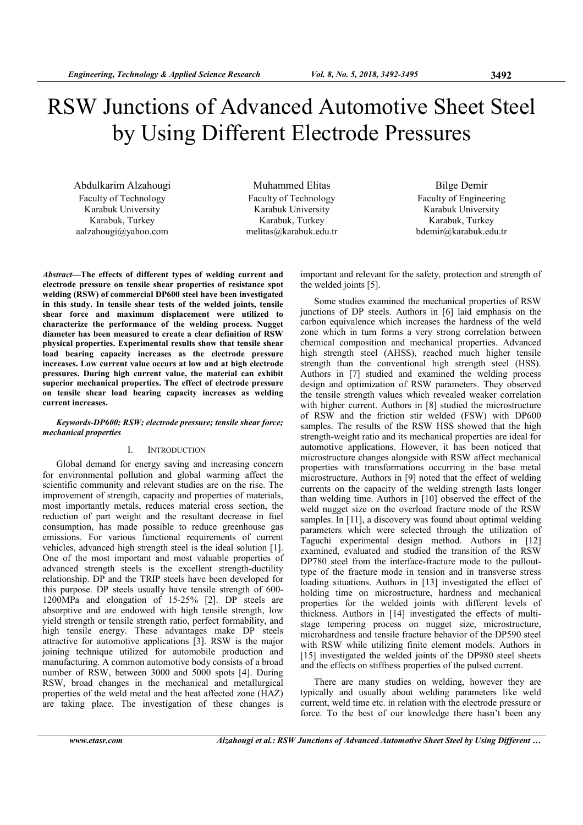# RSW Junctions of Advanced Automotive Sheet Steel by Using Different Electrode Pressures

Abdulkarim Alzahougi Faculty of Technology Karabuk University Karabuk, Turkey aalzahougi@yahoo.com

Muhammed Elitas Faculty of Technology Karabuk University Karabuk, Turkey melitas@karabuk.edu.tr

Bilge Demir Faculty of Engineering Karabuk University Karabuk, Turkey bdemir@karabuk.edu.tr

Abstract—The effects of different types of welding current and electrode pressure on tensile shear properties of resistance spot welding (RSW) of commercial DP600 steel have been investigated in this study. In tensile shear tests of the welded joints, tensile shear force and maximum displacement were utilized to characterize the performance of the welding process. Nugget diameter has been measured to create a clear definition of RSW physical properties. Experimental results show that tensile shear load bearing capacity increases as the electrode pressure increases. Low current value occurs at low and at high electrode pressures. During high current value, the material can exhibit superior mechanical properties. The effect of electrode pressure on tensile shear load bearing capacity increases as welding current increases.

# Keywords-DP600; RSW; electrode pressure; tensile shear force; mechanical properties

## I. INTRODUCTION

Global demand for energy saving and increasing concern for environmental pollution and global warming affect the scientific community and relevant studies are on the rise. The improvement of strength, capacity and properties of materials, most importantly metals, reduces material cross section, the reduction of part weight and the resultant decrease in fuel consumption, has made possible to reduce greenhouse gas emissions. For various functional requirements of current vehicles, advanced high strength steel is the ideal solution [1]. One of the most important and most valuable properties of advanced strength steels is the excellent strength-ductility relationship. DP and the TRIP steels have been developed for this purpose. DP steels usually have tensile strength of 600- 1200MPa and elongation of 15-25% [2]. DP steels are absorptive and are endowed with high tensile strength, low yield strength or tensile strength ratio, perfect formability, and high tensile energy. These advantages make DP steels attractive for automotive applications [3]. RSW is the major joining technique utilized for automobile production and manufacturing. A common automotive body consists of a broad number of RSW, between 3000 and 5000 spots [4]. During RSW, broad changes in the mechanical and metallurgical properties of the weld metal and the heat affected zone (HAZ) are taking place. The investigation of these changes is

important and relevant for the safety, protection and strength of the welded joints [5].

Some studies examined the mechanical properties of RSW junctions of DP steels. Authors in [6] laid emphasis on the carbon equivalence which increases the hardness of the weld zone which in turn forms a very strong correlation between chemical composition and mechanical properties. Advanced high strength steel (AHSS), reached much higher tensile strength than the conventional high strength steel (HSS). Authors in [7] studied and examined the welding process design and optimization of RSW parameters. They observed the tensile strength values which revealed weaker correlation with higher current. Authors in [8] studied the microstructure of RSW and the friction stir welded (FSW) with DP600 samples. The results of the RSW HSS showed that the high strength-weight ratio and its mechanical properties are ideal for automotive applications. However, it has been noticed that microstructure changes alongside with RSW affect mechanical properties with transformations occurring in the base metal microstructure. Authors in [9] noted that the effect of welding currents on the capacity of the welding strength lasts longer than welding time. Authors in [10] observed the effect of the weld nugget size on the overload fracture mode of the RSW samples. In [11], a discovery was found about optimal welding parameters which were selected through the utilization of Taguchi experimental design method. Authors in [12] examined, evaluated and studied the transition of the RSW DP780 steel from the interface-fracture mode to the pullouttype of the fracture mode in tension and in transverse stress loading situations. Authors in [13] investigated the effect of holding time on microstructure, hardness and mechanical properties for the welded joints with different levels of thickness. Authors in [14] investigated the effects of multistage tempering process on nugget size, microstructure, microhardness and tensile fracture behavior of the DP590 steel with RSW while utilizing finite element models. Authors in [15] investigated the welded joints of the DP980 steel sheets and the effects on stiffness properties of the pulsed current.

There are many studies on welding, however they are typically and usually about welding parameters like weld current, weld time etc. in relation with the electrode pressure or force. To the best of our knowledge there hasn't been any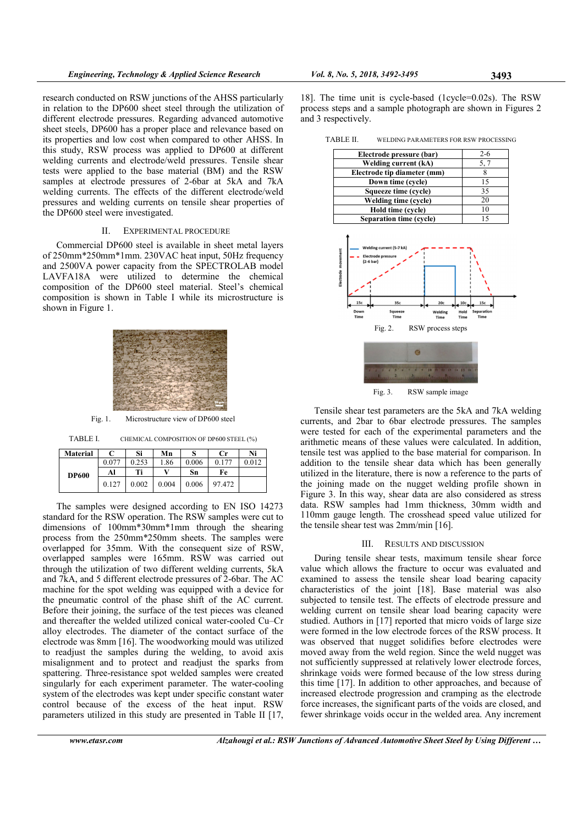research conducted on RSW junctions of the AHSS particularly in relation to the DP600 sheet steel through the utilization of different electrode pressures. Regarding advanced automotive sheet steels, DP600 has a proper place and relevance based on its properties and low cost when compared to other AHSS. In this study, RSW process was applied to DP600 at different welding currents and electrode/weld pressures. Tensile shear tests were applied to the base material (BM) and the RSW samples at electrode pressures of 2-6bar at 5kA and 7kA welding currents. The effects of the different electrode/weld pressures and welding currents on tensile shear properties of the DP600 steel were investigated.

## II. EXPERIMENTAL PROCEDURE

Commercial DP600 steel is available in sheet metal layers of 250mm\*250mm\*1mm. 230VAC heat input, 50Hz frequency and 2500VA power capacity from the SPECTROLAB model LAVFA18A were utilized to determine the chemical composition of the DP600 steel material. Steel's chemical composition is shown in Table I while its microstructure is shown in Figure 1.



Fig. 1. Microstructure view of DP600 steel

TABLE I. CHEMICAL COMPOSITION OF DP600 STEEL (%)

| <b>Material</b> |       | Si    | Mn    |       | Сr     | Ni    |
|-----------------|-------|-------|-------|-------|--------|-------|
| <b>DP600</b>    | 0.077 | 0.253 | .86   | 0.006 | 0.177  | 0.012 |
|                 | Al    | Ti    |       | Sn    | Fe     |       |
|                 | 0.127 | 0.002 | 0.004 | 0.006 | 97.472 |       |

The samples were designed according to EN ISO 14273 standard for the RSW operation. The RSW samples were cut to dimensions of 100mm\*30mm\*1mm through the shearing process from the 250mm\*250mm sheets. The samples were overlapped for 35mm. With the consequent size of RSW, overlapped samples were 165mm. RSW was carried out through the utilization of two different welding currents, 5kA and 7kA, and 5 different electrode pressures of 2-6bar. The AC machine for the spot welding was equipped with a device for the pneumatic control of the phase shift of the AC current. Before their joining, the surface of the test pieces was cleaned and thereafter the welded utilized conical water-cooled Cu–Cr alloy electrodes. The diameter of the contact surface of the electrode was 8mm [16]. The woodworking mould was utilized to readjust the samples during the welding, to avoid axis misalignment and to protect and readjust the sparks from spattering. Three-resistance spot welded samples were created singularly for each experiment parameter. The water-cooling system of the electrodes was kept under specific constant water control because of the excess of the heat input. RSW parameters utilized in this study are presented in Table II [17,

18]. The time unit is cycle-based (1cycle=0.02s). The RSW process steps and a sample photograph are shown in Figures 2 and 3 respectively.

TABLE II. WELDING PARAMETERS FOR RSW PROCESSING

| Electrode pressure (bar)       | $2 - 6$ |
|--------------------------------|---------|
| Welding current (kA)           | 5.7     |
| Electrode tip diameter (mm)    |         |
| Down time (cycle)              | 15      |
| Squeeze time (cycle)           | 35      |
| Welding time (cycle)           | 20      |
| Hold time (cycle)              | 10      |
| <b>Separation time (cycle)</b> | 15      |



Fig. 3. RSW sample image

Tensile shear test parameters are the 5kA and 7kA welding currents, and 2bar to 6bar electrode pressures. The samples were tested for each of the experimental parameters and the arithmetic means of these values were calculated. In addition, tensile test was applied to the base material for comparison. In addition to the tensile shear data which has been generally utilized in the literature, there is now a reference to the parts of the joining made on the nugget welding profile shown in Figure 3. In this way, shear data are also considered as stress data. RSW samples had 1mm thickness, 30mm width and 110mm gauge length. The crosshead speed value utilized for the tensile shear test was 2mm/min [16].

### III. RESULTS AND DISCUSSION

During tensile shear tests, maximum tensile shear force value which allows the fracture to occur was evaluated and examined to assess the tensile shear load bearing capacity characteristics of the joint [18]. Base material was also subjected to tensile test. The effects of electrode pressure and welding current on tensile shear load bearing capacity were studied. Authors in [17] reported that micro voids of large size were formed in the low electrode forces of the RSW process. It was observed that nugget solidifies before electrodes were moved away from the weld region. Since the weld nugget was not sufficiently suppressed at relatively lower electrode forces, shrinkage voids were formed because of the low stress during this time [17]. In addition to other approaches, and because of increased electrode progression and cramping as the electrode force increases, the significant parts of the voids are closed, and fewer shrinkage voids occur in the welded area. Any increment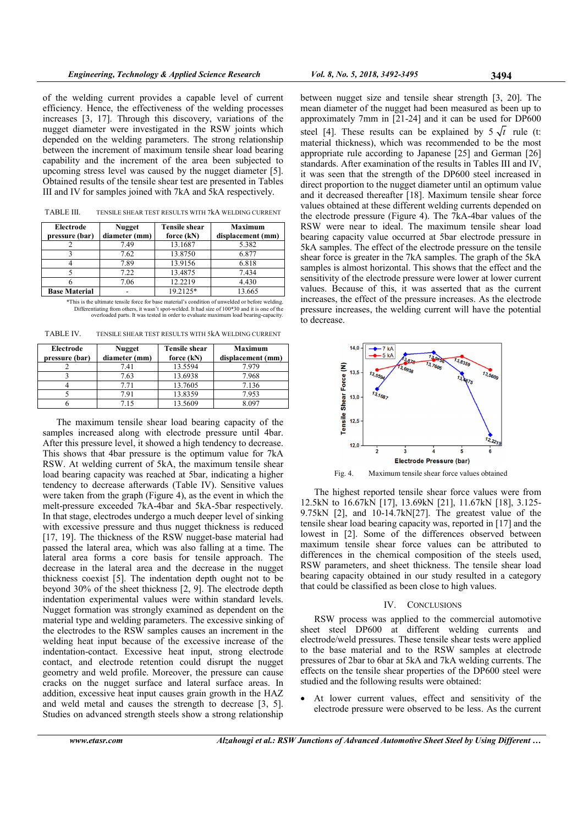of the welding current provides a capable level of current efficiency. Hence, the effectiveness of the welding processes increases [3, 17]. Through this discovery, variations of the nugget diameter were investigated in the RSW joints which depended on the welding parameters. The strong relationship between the increment of maximum tensile shear load bearing capability and the increment of the area been subjected to upcoming stress level was caused by the nugget diameter [5]. Obtained results of the tensile shear test are presented in Tables III and IV for samples joined with 7kA and 5kA respectively.

TABLE III. TENSILE SHEAR TEST RESULTS WITH 7kA WELDING CURRENT

| Electrode<br>pressure (bar) | <b>Nugget</b><br>diameter (mm) | <b>Tensile shear</b><br>force (kN) | Maximum<br>displacement (mm) |
|-----------------------------|--------------------------------|------------------------------------|------------------------------|
|                             | 7.49                           | 13.1687                            | 5.382                        |
|                             | 7.62                           | 13.8750                            | 6.877                        |
|                             | 7.89                           | 13.9156                            | 6.818                        |
|                             | 7.22                           | 13.4875                            | 7.434                        |
|                             | 7.06                           | 12.2219                            | 4.430                        |
| <b>Base Material</b>        |                                | 19.2125*                           | 13.665                       |

\*This is the ultimate tensile force for base material's condition of unwelded or before welding. Differentiating from others, it wasn't spot-welded. It had size of 100\*30 and it is one of the overloaded parts. It was tested in order to evaluate maximum load bearing-capacity.

TABLE IV. TENSILE SHEAR TEST RESULTS WITH 5kA WELDING CURRENT

| Electrode      | <b>Nugget</b> | <b>Tensile shear</b> | <b>Maximum</b>    |  |
|----------------|---------------|----------------------|-------------------|--|
| pressure (bar) | diameter (mm) | force (kN)           | displacement (mm) |  |
|                | 7.41          | 13.5594              | 7979              |  |
|                | 7.63          | 13.6938              | 7.968             |  |
|                | 7.71          | 13.7605              | 7.136             |  |
|                | 7.91          | 13.8359              | 7.953             |  |
|                | 7.15          | 13.5609              |                   |  |

The maximum tensile shear load bearing capacity of the samples increased along with electrode pressure until 4bar. After this pressure level, it showed a high tendency to decrease. This shows that 4bar pressure is the optimum value for 7kA RSW. At welding current of 5kA, the maximum tensile shear load bearing capacity was reached at 5bar, indicating a higher tendency to decrease afterwards (Table IV). Sensitive values were taken from the graph (Figure 4), as the event in which the melt-pressure exceeded 7kA-4bar and 5kA-5bar respectively. In that stage, electrodes undergo a much deeper level of sinking with excessive pressure and thus nugget thickness is reduced [17, 19]. The thickness of the RSW nugget-base material had passed the lateral area, which was also falling at a time. The lateral area forms a core basis for tensile approach. The decrease in the lateral area and the decrease in the nugget thickness coexist [5]. The indentation depth ought not to be beyond 30% of the sheet thickness [2, 9]. The electrode depth indentation experimental values were within standard levels. Nugget formation was strongly examined as dependent on the material type and welding parameters. The excessive sinking of the electrodes to the RSW samples causes an increment in the welding heat input because of the excessive increase of the indentation-contact. Excessive heat input, strong electrode contact, and electrode retention could disrupt the nugget geometry and weld profile. Moreover, the pressure can cause cracks on the nugget surface and lateral surface areas. In addition, excessive heat input causes grain growth in the HAZ and weld metal and causes the strength to decrease [3, 5]. Studies on advanced strength steels show a strong relationship

between nugget size and tensile shear strength [3, 20]. The mean diameter of the nugget had been measured as been up to approximately 7mm in [21-24] and it can be used for DP600 steel [4]. These results can be explained by  $5\sqrt{t}$  rule (t: material thickness), which was recommended to be the most appropriate rule according to Japanese [25] and German [26] standards. After examination of the results in Tables III and IV, it was seen that the strength of the DP600 steel increased in direct proportion to the nugget diameter until an optimum value and it decreased thereafter [18]. Maximum tensile shear force values obtained at these different welding currents depended on the electrode pressure (Figure 4). The 7kA-4bar values of the RSW were near to ideal. The maximum tensile shear load bearing capacity value occurred at 5bar electrode pressure in 5kA samples. The effect of the electrode pressure on the tensile shear force is greater in the 7kA samples. The graph of the 5kA samples is almost horizontal. This shows that the effect and the sensitivity of the electrode pressure were lower at lower current values. Because of this, it was asserted that as the current increases, the effect of the pressure increases. As the electrode pressure increases, the welding current will have the potential to decrease.



The highest reported tensile shear force values were from 12.5kN to 16.67kN [17], 13.69kN [21], 11.67kN [18], 3.125- 9.75kN [2], and 10-14.7kN[27]. The greatest value of the tensile shear load bearing capacity was, reported in [17] and the lowest in [2]. Some of the differences observed between maximum tensile shear force values can be attributed to differences in the chemical composition of the steels used, RSW parameters, and sheet thickness. The tensile shear load bearing capacity obtained in our study resulted in a category that could be classified as been close to high values.

#### IV. CONCLUSIONS

RSW process was applied to the commercial automotive sheet steel DP600 at different welding currents and electrode/weld pressures. These tensile shear tests were applied to the base material and to the RSW samples at electrode pressures of 2bar to 6bar at 5kA and 7kA welding currents. The effects on the tensile shear properties of the DP600 steel were studied and the following results were obtained:

At lower current values, effect and sensitivity of the electrode pressure were observed to be less. As the current